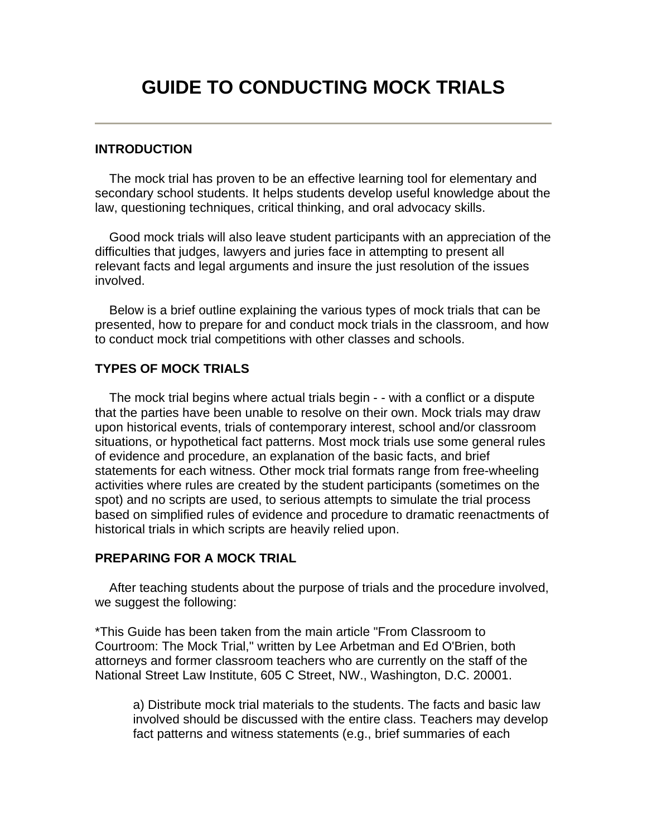## **GUIDE TO CONDUCTING MOCK TRIALS**

## **INTRODUCTION**

 The mock trial has proven to be an effective learning tool for elementary and secondary school students. It helps students develop useful knowledge about the law, questioning techniques, critical thinking, and oral advocacy skills.

 Good mock trials will also leave student participants with an appreciation of the difficulties that judges, lawyers and juries face in attempting to present all relevant facts and legal arguments and insure the just resolution of the issues involved.

 Below is a brief outline explaining the various types of mock trials that can be presented, how to prepare for and conduct mock trials in the classroom, and how to conduct mock trial competitions with other classes and schools.

## **TYPES OF MOCK TRIALS**

 The mock trial begins where actual trials begin - - with a conflict or a dispute that the parties have been unable to resolve on their own. Mock trials may draw upon historical events, trials of contemporary interest, school and/or classroom situations, or hypothetical fact patterns. Most mock trials use some general rules of evidence and procedure, an explanation of the basic facts, and brief statements for each witness. Other mock trial formats range from free-wheeling activities where rules are created by the student participants (sometimes on the spot) and no scripts are used, to serious attempts to simulate the trial process based on simplified rules of evidence and procedure to dramatic reenactments of historical trials in which scripts are heavily relied upon.

## **PREPARING FOR A MOCK TRIAL**

 After teaching students about the purpose of trials and the procedure involved, we suggest the following:

\*This Guide has been taken from the main article "From Classroom to Courtroom: The Mock Trial," written by Lee Arbetman and Ed O'Brien, both attorneys and former classroom teachers who are currently on the staff of the National Street Law Institute, 605 C Street, NW., Washington, D.C. 20001.

a) Distribute mock trial materials to the students. The facts and basic law involved should be discussed with the entire class. Teachers may develop fact patterns and witness statements (e.g., brief summaries of each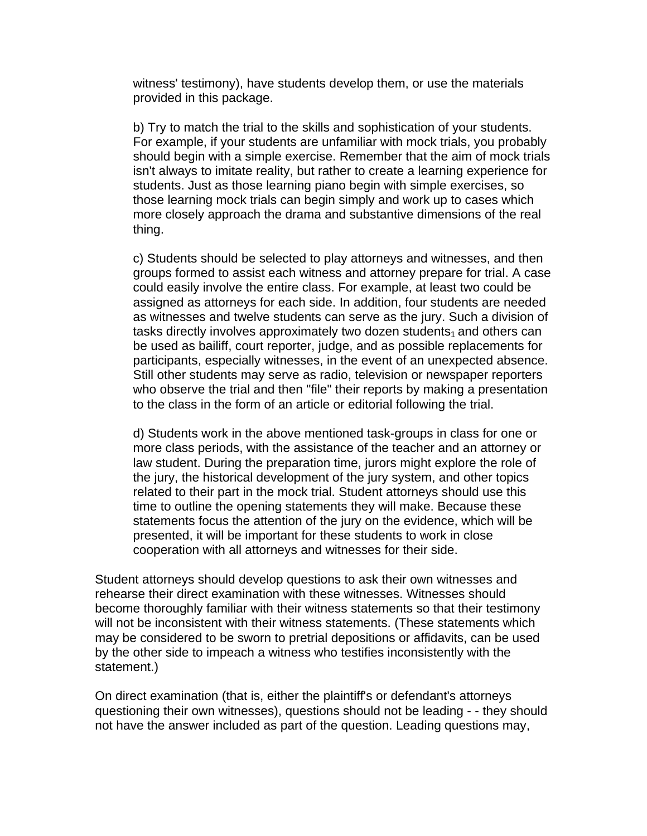witness' testimony), have students develop them, or use the materials provided in this package.

b) Try to match the trial to the skills and sophistication of your students. For example, if your students are unfamiliar with mock trials, you probably should begin with a simple exercise. Remember that the aim of mock trials isn't always to imitate reality, but rather to create a learning experience for students. Just as those learning piano begin with simple exercises, so those learning mock trials can begin simply and work up to cases which more closely approach the drama and substantive dimensions of the real thing.

c) Students should be selected to play attorneys and witnesses, and then groups formed to assist each witness and attorney prepare for trial. A case could easily involve the entire class. For example, at least two could be assigned as attorneys for each side. In addition, four students are needed as witnesses and twelve students can serve as the jury. Such a division of tasks directly involves approximately two dozen students $_1$  and others can be used as bailiff, court reporter, judge, and as possible replacements for participants, especially witnesses, in the event of an unexpected absence. Still other students may serve as radio, television or newspaper reporters who observe the trial and then "file" their reports by making a presentation to the class in the form of an article or editorial following the trial.

d) Students work in the above mentioned task-groups in class for one or more class periods, with the assistance of the teacher and an attorney or law student. During the preparation time, jurors might explore the role of the jury, the historical development of the jury system, and other topics related to their part in the mock trial. Student attorneys should use this time to outline the opening statements they will make. Because these statements focus the attention of the jury on the evidence, which will be presented, it will be important for these students to work in close cooperation with all attorneys and witnesses for their side.

Student attorneys should develop questions to ask their own witnesses and rehearse their direct examination with these witnesses. Witnesses should become thoroughly familiar with their witness statements so that their testimony will not be inconsistent with their witness statements. (These statements which may be considered to be sworn to pretrial depositions or affidavits, can be used by the other side to impeach a witness who testifies inconsistently with the statement.)

On direct examination (that is, either the plaintiff's or defendant's attorneys questioning their own witnesses), questions should not be leading - - they should not have the answer included as part of the question. Leading questions may,